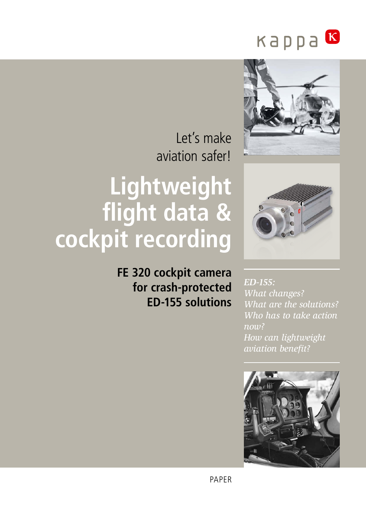



Let's make aviation safer!

# **Lightweight flight data & cockpit recording**

**FE 320 cockpit camera for crash-protected ED-155 solutions**

*ED-155: What changes? What are the solutions? Who has to take action now? How can lightweight aviation benefit?*

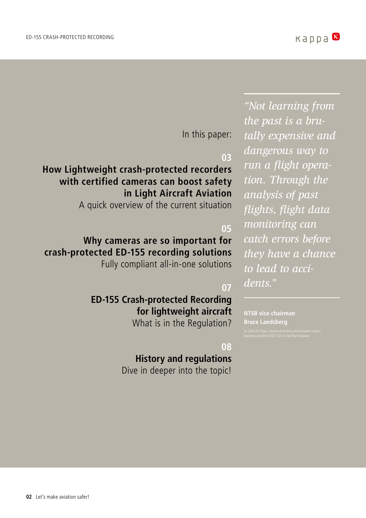In this paper:

# **03**

# **How Lightweight crash-protected recorders with certified cameras can boost safety in Light Aircraft Aviation**

A quick overview of the current situation

# **05**

# **Why cameras are so important for crash-protected ED-155 recording solutions** Fully compliant all-in-one solutions

# **07**

# **ED-155 Crash-protected Recording for lightweight aircraft**

What is in the Regulation?

## **08**

# **History and regulations**

*dangerous way to run a flight operation. Through the analysis of past flights, flight data monitoring can catch errors before they have a chance to lead to accidents."*

*"Not learning from* 

*tally expensive and* 

*the past is a bru-*

**NTSB vice chairman Bruce Landsberg** 

Dive in deeper into the topic!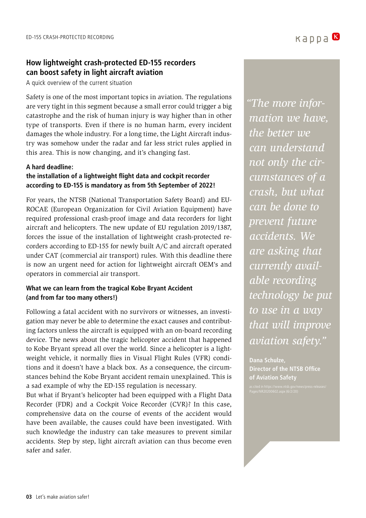## **How lightweight crash-protected ED-155 recorders can boost safety in light aircraft aviation**

A quick overview of the current situation

Safety is one of the most important topics in aviation. The regulations are very tight in this segment because a small error could trigger a big catastrophe and the risk of human injury is way higher than in other type of transports. Even if there is no human harm, every incident damages the whole industry. For a long time, the Light Aircraft industry was somehow under the radar and far less strict rules applied in this area. This is now changing, and it's changing fast.

#### **A hard deadline:**

#### **the installation of a lightweight flight data and cockpit recorder according to ED-155 is mandatory as from 5th September of 2022!**

For years, the NTSB (National Transportation Safety Board) and EU-ROCAE (European Organization for Civil Aviation Equipment) have required professional crash-proof image and data recorders for light aircraft and helicopters. The new update of EU regulation 2019/1387, forces the issue of the installation of lightweight crash-protected recorders according to ED-155 for newly built A/C and aircraft operated under CAT (commercial air transport) rules. With this deadline there is now an urgent need for action for lightweight aircraft OEM's and operators in commercial air transport.

#### **What we can learn from the tragical Kobe Bryant Accident (and from far too many others!)**

Following a fatal accident with no survivors or witnesses, an investigation may never be able to determine the exact causes and contributing factors unless the aircraft is equipped with an on-board recording device. The news about the tragic helicopter accident that happened to Kobe Bryant spread all over the world. Since a helicopter is a lightweight vehicle, it normally flies in Visual Flight Rules (VFR) conditions and it doesn't have a black box. As a consequence, the circumstances behind the Kobe Bryant accident remain unexplained. This is a sad example of why the ED-155 regulation is necessary.

But what if Bryant's helicopter had been equipped with a Flight Data Recorder (FDR) and a Cockpit Voice Recorder (CVR)? In this case, comprehensive data on the course of events of the accident would have been available, the causes could have been investigated. With such knowledge the industry can take measures to prevent similar accidents. Step by step, light aircraft aviation can thus become even safer and safer.

*"The more information we have, the better we can understand not only the circumstances of a crash, but what can be done to prevent future accidents. We are asking that currently available recording technology be put to use in a way that will improve aviation safety."*

**Dana Schulze, Director of the NTSB Office of Aviation Safety**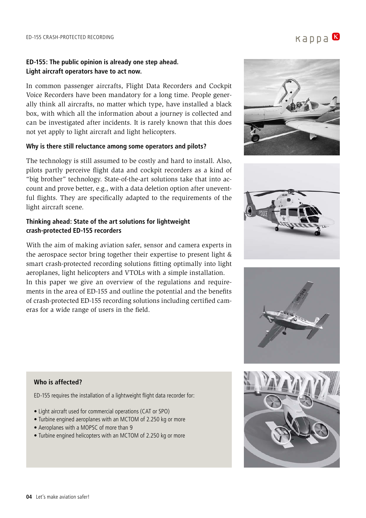#### **ED-155: The public opinion is already one step ahead. Light aircraft operators have to act now.**

In common passenger aircrafts, Flight Data Recorders and Cockpit Voice Recorders have been mandatory for a long time. People generally think all aircrafts, no matter which type, have installed a black box, with which all the information about a journey is collected and can be investigated after incidents. It is rarely known that this does not yet apply to light aircraft and light helicopters.

#### **Why is there still reluctance among some operators and pilots?**

The technology is still assumed to be costly and hard to install. Also, pilots partly perceive flight data and cockpit recorders as a kind of "big brother" technology. State-of-the-art solutions take that into account and prove better, e.g., with a data deletion option after uneventful flights. They are specifically adapted to the requirements of the light aircraft scene.

#### **Thinking ahead: State of the art solutions for lightweight crash-protected ED-155 recorders**

With the aim of making aviation safer, sensor and camera experts in the aerospace sector bring together their expertise to present light & smart crash-protected recording solutions fitting optimally into light aeroplanes, light helicopters and VTOLs with a simple installation. In this paper we give an overview of the regulations and requirements in the area of ED-155 and outline the potential and the benefits of crash-protected ED-155 recording solutions including certified cameras for a wide range of users in the field.







#### **Who is affected?**

ED-155 requires the installation of a lightweight flight data recorder for:

- Light aircraft used for commercial operations (CAT or SPO)
- Turbine engined aeroplanes with an MCTOM of 2.250 kg or more
- Aeroplanes with a MOPSC of more than 9
- Turbine engined helicopters with an MCTOM of 2.250 kg or more

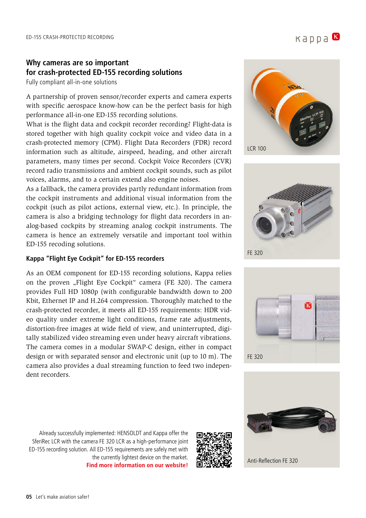# **Why cameras are so important for crash-protected ED-155 recording solutions**

Fully compliant all-in-one solutions

A partnership of proven sensor/recorder experts and camera experts with specific aerospace know-how can be the perfect basis for high performance all-in-one ED-155 recording solutions.

What is the flight data and cockpit recorder recording? Flight-data is stored together with high quality cockpit voice and video data in a crash-protected memory (CPM). Flight Data Recorders (FDR) record information such as altitude, airspeed, heading, and other aircraft parameters, many times per second. Cockpit Voice Recorders (CVR) record radio transmissions and ambient cockpit sounds, such as pilot voices, alarms, and to a certain extend also engine noises.

As a fallback, the camera provides partly redundant information from the cockpit instruments and additional visual information from the cockpit (such as pilot actions, external view, etc.). In principle, the camera is also a bridging technology for flight data recorders in analog-based cockpits by streaming analog cockpit instruments. The camera is hence an extremely versatile and important tool within ED-155 recoding solutions.

#### **Kappa "Flight Eye Cockpit" for ED-155 recorders**

As an OEM component for ED-155 recording solutions, Kappa relies on the proven "Flight Eye Cockpit" camera (FE 320). The camera provides Full HD 1080p (with configurable bandwidth down to 200 Kbit, Ethernet IP and H.264 compression. Thoroughly matched to the crash-protected recorder, it meets all ED-155 requirements: HDR video quality under extreme light conditions, frame rate adjustments, distortion-free images at wide field of view, and uninterrupted, digitally stabilized video streaming even under heavy aircraft vibrations. The camera comes in a modular SWAP-C design, either in compact design or with separated sensor and electronic unit (up to 10 m). The camera also provides a dual streaming function to feed two independent recorders.









Already successfully implemented: HENSOLDT and Kappa offer the SferiRec LCR with the camera FE 320 LCR as a high-performance joint ED-155 recording solution. All ED-155 requirements are safely met with the currently lightest device on the market. **[Find more information on our website!](https://www.kappa-optronics.com/en/aviation/cockpit-cameras/cameras-for-ed-155-recorders/)**

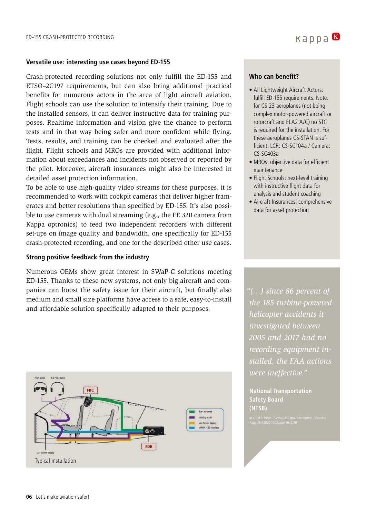#### **Versatile use: interesting use cases beyond ED-155**

Crash-protected recording solutions not only fulfill the ED-155 and ETSO–2C197 requirements, but can also bring additional practical benefits for numerous actors in the area of light aircraft aviation. Flight schools can use the solution to intensify their training. Due to the installed sensors, it can deliver instructive data for training purposes. Realtime information and vision give the chance to perform tests and in that way being safer and more confident while flying. Tests, results, and training can be checked and evaluated after the flight. Flight schools and MROs are provided with additional information about exceedances and incidents not observed or reported by the pilot. Moreover, aircraft insurances might also be interested in detailed asset protection information.

To be able to use high-quality video streams for these purposes, it is recommended to work with cockpit cameras that deliver higher framerates and better resolutions than specified by ED-155. It's also possible to use cameras with dual streaming (e.g., the FE 320 camera from Kappa optronics) to feed two independent recorders with different set-ups on image quality and bandwidth, one specifically for ED-155 crash-protected recording, and one for the described other use cases.

#### **Strong positive feedback from the industry**

Numerous OEMs show great interest in SWaP-C solutions meeting ED-155. Thanks to these new systems, not only big aircraft and companies can boost the safety issue for their aircraft, but finally also medium and small size platforms have access to a safe, easy-to-install and affordable solution specifically adapted to their purposes.



#### **Who can benefit?**

• All Lightweight Aircraft Actors: fulfill ED-155 requirements. Note: for CS-23 aeroplanes (not being complex motor-powered aircraft or rotorcraft and ELA2 A/C) no STC is required for the installation. For these aeroplanes CS-STAN is sufficient. LCR: CS-SC104a / Camera: CS-SC403a

kappa B

- MROs: objective data for efficient maintenance
- Flight Schools: next-level training with instructive flight data for analysis and student coaching
- Aircraft Insurances: comprehensive data for asset protection

*"(…) since 86 percent of the 185 turbine-powered helicopter accidents it investigated between 2005 and 2017 had no recording equipment installed, the FAA actions were ineffective."* 

**National Transportation Safety Board (NTSB)**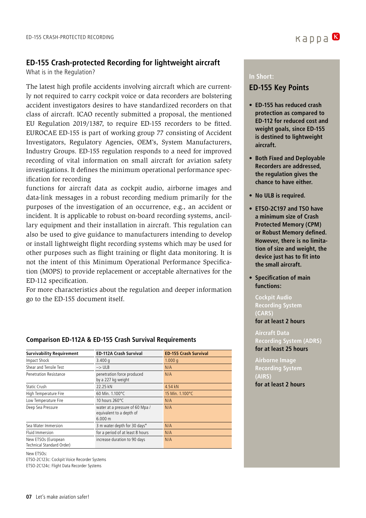# **ED-155 Crash-protected Recording for lightweight aircraft**

What is in the Regulation?

The latest high profile accidents involving aircraft which are currently not required to carry cockpit voice or data recorders are bolstering accident investigators desires to have standardized recorders on that class of aircraft. ICAO recently submitted a proposal, the mentioned EU Regulation 2019/1387, to require ED-155 recorders to be fitted. EUROCAE ED-155 is part of working group 77 consisting of Accident Investigators, Regulatory Agencies, OEM's, System Manufacturers, Industry Groups. ED-155 regulation responds to a need for improved recording of vital information on small aircraft for aviation safety investigations. It defines the minimum operational performance specification for recording

functions for aircraft data as cockpit audio, airborne images and data-link messages in a robust recording medium primarily for the purposes of the investigation of an occurrence, e.g., an accident or incident. It is applicable to robust on-board recording systems, ancillary equipment and their installation in aircraft. This regulation can also be used to give guidance to manufacturers intending to develop or install lightweight flight recording systems which may be used for other purposes such as flight training or flight data monitoring. It is not the intent of this Minimum Operational Performance Specification (MOPS) to provide replacement or acceptable alternatives for the ED-112 specification.

For more characteristics about the regulation and deeper information go to the ED-155 document itself.

**Comparison ED-112A & ED-155 Crash Survival Requirements** 

#### **Survivability Requirement ED-112A Crash Survival ED-155 Crash Survival** Impact Shock 3.400 g 1.000 g Shear and Tensile Test **Example 18** Test **1** Test **1** Test **1** Test **1** Test **1** Test **1** Test **1** Test **1** Test **1** Test **1** Test **1** Test **1** Test **1** Test **1** Test **1** Test **1** Test **1** Test **1** Test **1** Test **1** Test Penetration Resistance penetration force produced by a 227 kg weight N/A Static Crush 22.25 kN High Temperature Fire 60 Min. 1.100°C 15 Min. 1.100°C Low Temperature Fire 10 hours 260°C N/A Deep Sea Pressure **base of 60 Mpa** / equivalent to a depth of 6.000 m N/A Sea Water Immersion 3 m water depth for 30 days\* N/A Fluid Immersion **Fluid Immersion** for a period of at least 8 hours **N/A** New ETSOs (European Technical Standard Order) increase duration to 90 days N/A

New ETSOs:

ETSO-2C123c: Cockpit Voice Recorder Systems ETSO-2C124c: Flight Data Recorder Systems

#### **In Short:**

# **ED-155 Key Points**

- **ED-155 has reduced crash protection as compared to ED-112 for reduced cost and weight goals, since ED-155 is destined to lightweight aircraft.**
- **Both Fixed and Deployable Recorders are addressed, the regulation gives the chance to have either.**
- **• No ULB is required.**
- **ETSO-2C197 and TSO have a minimum size of Crash Protected Memory (CPM) or Robust Memory defined. However, there is no limitation of size and weight, the device just has to fit into the small aircraft.**
- **Specification of main functions:**

**Cockpit Audio Recording System (CARS) for at least 2 hours**

#### **Aircraft Data Recording System (ADRS)**

**for at least 25 hours**

**Airborne Image Recording System (AIRS) for at least 2 hours**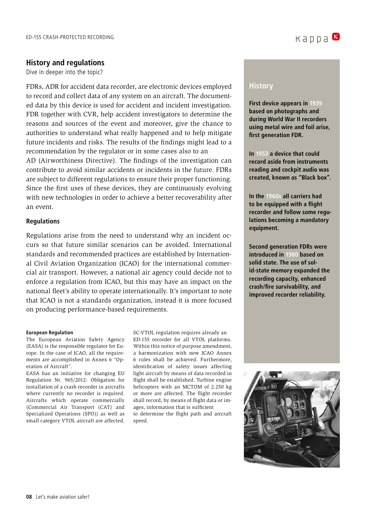#### **History and regulations**

Dive in deeper into the topic?

FDRs, ADR for accident data recorder, are electronic devices employed to record and collect data of any system on an aircraft. The documented data by this device is used for accident and incident investigation. FDR together with CVR, help accident investigators to determine the reasons and sources of the event and moreover, give the chance to authorities to understand what really happened and to help mitigate future incidents and risks. The results of the findings might lead to a recommendation by the regulator or in some cases also to an AD (Airworthiness Directive). The findings of the investigation can

contribute to avoid similar accidents or incidents in the future. FDRs are subject to different regulations to ensure their proper functioning. Since the first uses of these devices, they are continuously evolving with new technologies in order to achieve a better recoverability after an event.

#### **Regulations**

Regulations arise from the need to understand why an incident occurs so that future similar scenarios can be avoided. International standards and recommended practices are established by International Civil Aviation Organization (ICAO) for the international commercial air transport. However, a national air agency could decide not to enforce a regulation from ICAO, but this may have an impact on the national fleet's ability to operate internationally. It's important to note that ICAO is not a standards organization, instead it is more focused on producing performance-based requirements.

#### **European Regulation**

The European Aviation Safety Agency (EASA) is the responsible regulator for Europe. In the case of ICAO, all the requirements are accomplished in Annex 6 "Operation of Aircraft".

EASA has an initiative for changing EU Regulation Nr. 965/2012: Obligation for installation of a crash recorder in aircrafts where currently no recorder is required. Aircrafts which operate commercially (Commercial Air Transport (CAT) and Specialized Operations (SPO)) as well as small category VTOL aircraft are affected.

SC-VTOL regulation requires already an ED-155 recorder for all VTOL platforms. Within this notice of purpose amendment, a harmonization with new ICAO Annex 6 rules shall be achieved. Furthermore, identification of safety issues affecting light aircraft by means of data recorded in flight shall be established. Turbine engine helicopters with an MCTOM of 2.250 kg or more are affected. The flight recorder shall record, by means of flight data or images, information that is sufficient to determine the flight path and aircraft speed.

## **History**

**First device appears in 1939 based on photographs and during World War II recorders using metal wire and foil arise, first generation FDR.**

**In 1953 a device that could record aside from instruments reading and cockpit audio was created, known as "Black box".**

**In the 1960s all carriers had to be equipped with a flight recorder and follow some regulations becoming a mandatory equipment.**

**Second generation FDRs were introduced in 1980 based on solid state. The use of solid-state memory expanded the recording capacity, enhanced crash/fire survivability, and improved recorder reliability.**